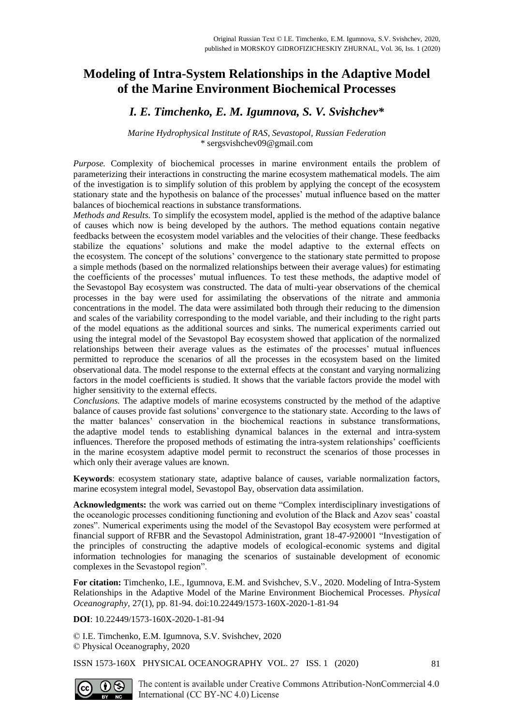# **Modeling of Intra-System Relationships in the Adaptive Model of the Marine Environment Biochemical Processes**

# *I. E. Timchenko, E. M. Igumnova, S. V. Svishchev\**

#### *Marine Hydrophysical Institute of RAS, Sevastopol, Russian Federation* \* sergsvishchev09@gmail.com

*Purpose.* Complexity of biochemical processes in marine environment entails the problem of parameterizing their interactions in constructing the marine ecosystem mathematical models. The aim of the investigation is to simplify solution of this problem by applying the concept of the ecosystem stationary state and the hypothesis on balance of the processes' mutual influence based on the matter balances of biochemical reactions in substance transformations.

*Methods and Results.* To simplify the ecosystem model, applied is the method of the adaptive balance of causes which now is being developed by the authors. The method equations contain negative feedbacks between the ecosystem model variables and the velocities of their change. These feedbacks stabilize the equations' solutions and make the model adaptive to the external effects on the ecosystem. The concept of the solutions' convergence to the stationary state permitted to propose a simple methods (based on the normalized relationships between their average values) for estimating the coefficients of the processes' mutual influences. To test these methods, the adaptive model of the Sevastopol Bay ecosystem was constructed. The data of multi-year observations of the chemical processes in the bay were used for assimilating the observations of the nitrate and ammonia concentrations in the model. The data were assimilated both through their reducing to the dimension and scales of the variability corresponding to the model variable, and their including to the right parts of the model equations as the additional sources and sinks. The numerical experiments carried out using the integral model of the Sevastopol Bay ecosystem showed that application of the normalized relationships between their average values as the estimates of the processes' mutual influences permitted to reproduce the scenarios of all the processes in the ecosystem based on the limited observational data. The model response to the external effects at the constant and varying normalizing factors in the model coefficients is studied. It shows that the variable factors provide the model with higher sensitivity to the external effects.

*Conclusions.* The adaptive models of marine ecosystems constructed by the method of the adaptive balance of causes provide fast solutions' convergence to the stationary state. According to the laws of the matter balances' conservation in the biochemical reactions in substance transformations, the adaptive model tends to establishing dynamical balances in the external and intra-system influences. Therefore the proposed methods of estimating the intra-system relationships' coefficients in the marine ecosystem adaptive model permit to reconstruct the scenarios of those processes in which only their average values are known.

**Keywords**: ecosystem stationary state, adaptive balance of causes, variable normalization factors, marine ecosystem integral model, Sevastopol Bay, observation data assimilation.

**Acknowledgments:** the work was carried out on theme "Complex interdisciplinary investigations of the oceanologic processes conditioning functioning and evolution of the Black and Azov seas' coastal zones". Numerical experiments using the model of the Sevastopol Bay ecosystem were performed at financial support of RFBR and the Sevastopol Administration, grant 18-47-920001 "Investigation of the principles of constructing the adaptive models of ecological-economic systems and digital information technologies for managing the scenarios of sustainable development of economic complexes in the Sevastopol region".

**For citation:** Timchenko, I.E., Igumnova, E.M. and Svishchev, S.V., 2020. Modeling of Intra-System Relationships in the Adaptive Model of the Marine Environment Biochemical Processes. *Physical Oceanography*, 27(1), pp. 81-94. doi:10.22449/1573-160X-2020-1-81-94

**DOI**: 10.22449/1573-160X-2020-1-81-94

© I.E. Timchenko, E.M. Igumnova, S.V. Svishchev, 2020 © Physical Oceanography, 2020

ISSN 1573-160X PHYSICAL OCEANOGRAPHY VOL. 27 ISS. 1 (2020) 81



The content is available under Creative Commons Attribution-NonCommercial 4.0 International (CC BY-NC 4.0) License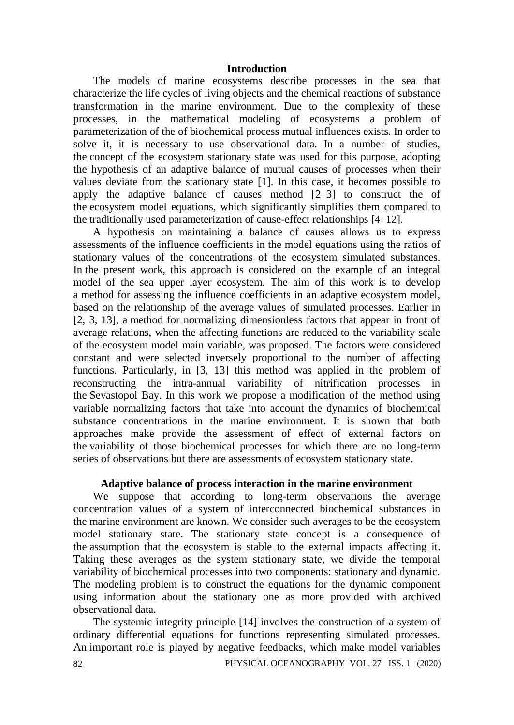## **Introduction**

The models of marine ecosystems describe processes in the sea that characterize the life cycles of living objects and the chemical reactions of substance transformation in the marine environment. Due to the complexity of these processes, in the mathematical modeling of ecosystems a problem of parameterization of the of biochemical process mutual influences exists. In order to solve it, it is necessary to use observational data. In a number of studies, the concept of the ecosystem stationary state was used for this purpose, adopting the hypothesis of an adaptive balance of mutual causes of processes when their values deviate from the stationary state [1]. In this case, it becomes possible to apply the adaptive balance of causes method [2–3] to construct the of the ecosystem model equations, which significantly simplifies them compared to the traditionally used parameterization of cause-effect relationships [4–12].

A hypothesis on maintaining a balance of causes allows us to express assessments of the influence coefficients in the model equations using the ratios of stationary values of the concentrations of the ecosystem simulated substances. In the present work, this approach is considered on the example of an integral model of the sea upper layer ecosystem. The aim of this work is to develop a method for assessing the influence coefficients in an adaptive ecosystem model, based on the relationship of the average values of simulated processes. Earlier in [2, 3, 13], a method for normalizing dimensionless factors that appear in front of average relations, when the affecting functions are reduced to the variability scale of the ecosystem model main variable, was proposed. The factors were considered constant and were selected inversely proportional to the number of affecting functions. Particularly, in [3, 13] this method was applied in the problem of reconstructing the intra-annual variability of nitrification processes in the Sevastopol Bay. In this work we propose a modification of the method using variable normalizing factors that take into account the dynamics of biochemical substance concentrations in the marine environment. It is shown that both approaches make provide the assessment of effect of external factors on the variability of those biochemical processes for which there are no long-term series of observations but there are assessments of ecosystem stationary state.

### **Adaptive balance of process interaction in the marine environment**

We suppose that according to long-term observations the average concentration values of a system of interconnected biochemical substances in the marine environment are known. We consider such averages to be the ecosystem model stationary state. The stationary state concept is a consequence of the assumption that the ecosystem is stable to the external impacts affecting it. Taking these averages as the system stationary state, we divide the temporal variability of biochemical processes into two components: stationary and dynamic. The modeling problem is to construct the equations for the dynamic component using information about the stationary one as more provided with archived observational data.

The systemic integrity principle [14] involves the construction of a system of ordinary differential equations for functions representing simulated processes. An important role is played by negative feedbacks, which make model variables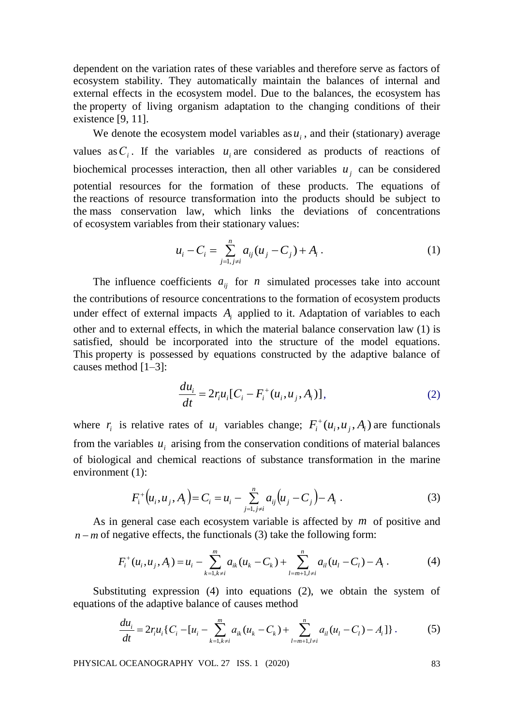dependent on the variation rates of these variables and therefore serve as factors of ecosystem stability. They automatically maintain the balances of internal and external effects in the ecosystem model. Due to the balances, the ecosystem has the property of living organism adaptation to the changing conditions of their existence [9, 11].

We denote the ecosystem model variables as  $u_i$ , and their (stationary) average values as  $C_i$ . If the variables  $u_i$  are considered as products of reactions of biochemical processes interaction, then all other variables  $u_j$  can be considered potential resources for the formation of these products. The equations of the reactions of resource transformation into the products should be subject to the mass conservation law, which links the deviations of concentrations of ecosystem variables from their stationary values:

$$
u_i - C_i = \sum_{j=1, j \neq i}^{n} a_{ij} (u_j - C_j) + A_i.
$$
 (1)

The influence coefficients  $a_{ij}$  for *n* simulated processes take into account the contributions of resource concentrations to the formation of ecosystem products under effect of external impacts  $A_i$  applied to it. Adaptation of variables to each other and to external effects, in which the material balance conservation law (1) is satisfied, should be incorporated into the structure of the model equations. This property is possessed by equations constructed by the adaptive balance of causes method [1–3]:

$$
\frac{du_i}{dt} = 2r_i u_i [C_i - F_i^+(u_i, u_j, A_i)],
$$
\n(2)

where  $r_i$  is relative rates of  $u_i$  variables change;  $F_i^+(u_i, u_j, A_i)$  are functionals from the variables  $u_i$  arising from the conservation conditions of material balances of biological and chemical reactions of substance transformation in the marine environment (1):

$$
F_{i}^{+}(u_{i}, u_{j}, A_{i}) = C_{i} = u_{i} - \sum_{j=1, j \neq i}^{n} a_{ij}(u_{j} - C_{j}) - A_{i}.
$$
 (3)

As in general case each ecosystem variable is affected by *m* of positive and   
*n* – *m* of negative effects, the functionals (3) take the following form:  

$$
F_i^+(u_i, u_j, A_i) = u_i - \sum_{k=1, k \neq i}^{m} a_{ik}(u_k - C_k) + \sum_{l=m+1, l \neq i}^{n} a_{il}(u_l - C_l) - A_l.
$$
 (4)

Substituting expression (4) into equations (2), we obtain the system of equations of the adaptive balance of causes method\n
$$
\frac{du_i}{dt} = 2r_i u_i \{C_i - [u_i - \sum_{k=1, k \neq i}^{m} a_{ik} (u_k - C_k) + \sum_{l=m+1, l \neq i}^{n} a_{il} (u_l - C_l) - A_l] \}.
$$
\n(5)

PHYSICAL OCEANOGRAPHY VOL. 27 ISS. 1 (2020) 83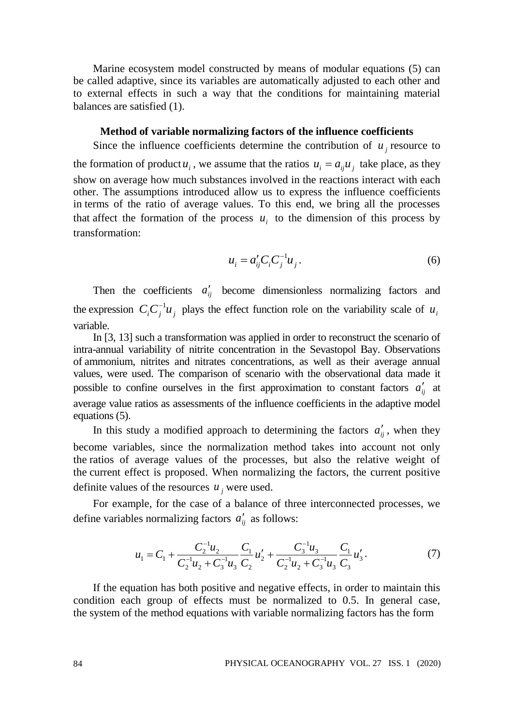Marine ecosystem model constructed by means of modular equations (5) can be called adaptive, since its variables are automatically adjusted to each other and to external effects in such a way that the conditions for maintaining material balances are satisfied (1).

### **Method of variable normalizing factors of the influence coefficients**

Since the influence coefficients determine the contribution of  $u_j$  resource to

the formation of product  $u_i$ , we assume that the ratios  $u_i = a_{ij}u_j$  take place, as they show on average how much substances involved in the reactions interact with each other. The assumptions introduced allow us to express the influence coefficients in terms of the ratio of average values. To this end, we bring all the processes that affect the formation of the process  $u_i$  to the dimension of this process by transformation:

$$
u_i = a'_{ij} C_i C_j^{-1} u_j. \tag{6}
$$

Then the coefficients  $a'_{ij}$  become dimensionless normalizing factors and the expression  $C_i C_j^{-1} u_j$  plays the effect function role on the variability scale of  $u_i$ variable.

In [3, 13] such a transformation was applied in order to reconstruct the scenario of intra-annual variability of nitrite concentration in the Sevastopol Bay. Observations of ammonium, nitrites and nitrates concentrations, as well as their average annual values, were used. The comparison of scenario with the observational data made it possible to confine ourselves in the first approximation to constant factors  $a_{ij}$  at average value ratios as assessments of the influence coefficients in the adaptive model equations (5).

In this study a modified approach to determining the factors  $a'_{ij}$ , when they become variables, since the normalization method takes into account not only the ratios of average values of the processes, but also the relative weight of the current effect is proposed. When normalizing the factors, the current positive definite values of the resources  $u_j$  were used.

For example, for the case of a balance of three interconnected processes, we define variables normalizing factors  $a'_{ij}$  as follows:

$$
u_1 = C_1 + \frac{C_2^{-1}u_2}{C_2^{-1}u_2 + C_3^{-1}u_3} \frac{C_1}{C_2} u_2' + \frac{C_3^{-1}u_3}{C_2^{-1}u_2 + C_3^{-1}u_3} \frac{C_1}{C_3} u_3'.
$$
 (7)

If the equation has both positive and negative effects, in order to maintain this condition each group of effects must be normalized to 0.5. In general case, the system of the method equations with variable normalizing factors has the form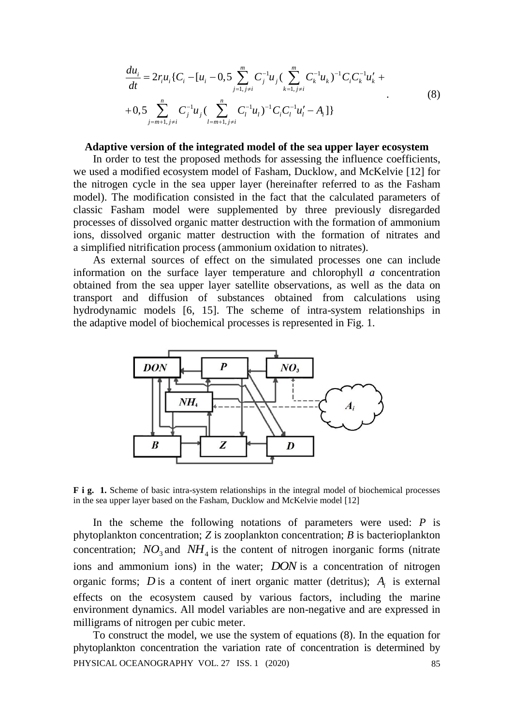$$
\frac{du_i}{dt} = 2r_i u_i \{C_i - [u_i - 0.5 \sum_{j=1, j \neq i}^{m} C_j^{-1} u_j (\sum_{k=1, j \neq i}^{m} C_k^{-1} u_k)^{-1} C_i C_k^{-1} u'_k + (0.5 \sum_{j=m+1, j \neq i}^{n} C_j^{-1} u_j (\sum_{l=m+1, j \neq i}^{n} C_l^{-1} u_l)^{-1} C_i C_l^{-1} u'_l - A_i] \}
$$
\n(8)

#### **Adaptive version of the integrated model of the sea upper layer ecosystem**

In order to test the proposed methods for assessing the influence coefficients, we used a modified ecosystem model of Fasham, Ducklow, and McKelvie [12] for the nitrogen cycle in the sea upper layer (hereinafter referred to as the Fasham model). The modification consisted in the fact that the calculated parameters of classic Fasham model were supplemented by three previously disregarded processes of dissolved organic matter destruction with the formation of ammonium ions, dissolved organic matter destruction with the formation of nitrates and a simplified nitrification process (ammonium oxidation to nitrates).

As external sources of effect on the simulated processes one can include information on the surface layer temperature and chlorophyll *a* concentration obtained from the sea upper layer satellite observations, as well as the data on transport and diffusion of substances obtained from calculations using hydrodynamic models [6, 15]. The scheme of intra-system relationships in the adaptive model of biochemical processes is represented in Fig. 1.



**F i g. 1.** Scheme of basic intra-system relationships in the integral model of biochemical processes in the sea upper layer based on the Fasham, Ducklow and McKelvie model [12]

 $\frac{du_t}{dt} = 2r\mu_t (C_t - [u_t - 0.5] \sum_{i=1}^{m} C_i^{-i} u_t \left( \sum_{i=1, j \neq i}^{m} C_i^{-i} u_t \right)^n C_i C_n^{-i} u_t' + (0.5) \sum_{i=1, j \neq i}^{m} C_i^{-i} u_t \left( \sum_{i=1, j \neq i}^{m} C_i^{-i} u_t \right)^n C_i C_n^{-i} u_t' + (0.5) \sum_{i=1, j \neq i}^{m} C_i^{-i} u_t \left( \sum_{i=1, j \neq i}^{m} C_i^{-i} u_t \right)^n C_i C_n^{-i}$ In the scheme the following notations of parameters were used: *P* is phytoplankton concentration; *Z* is zooplankton concentration; *B* is bacterioplankton concentration;  $NO_3$  and  $NH_4$  is the content of nitrogen inorganic forms (nitrate ions and ammonium ions) in the water; *DON* is a concentration of nitrogen organic forms; *D* is a content of inert organic matter (detritus);  $A_i$  is external effects on the ecosystem caused by various factors, including the marine environment dynamics. All model variables are non-negative and are expressed in milligrams of nitrogen per cubic meter.

To construct the model, we use the system of equations (8). In the equation for phytoplankton concentration the variation rate of concentration is determined by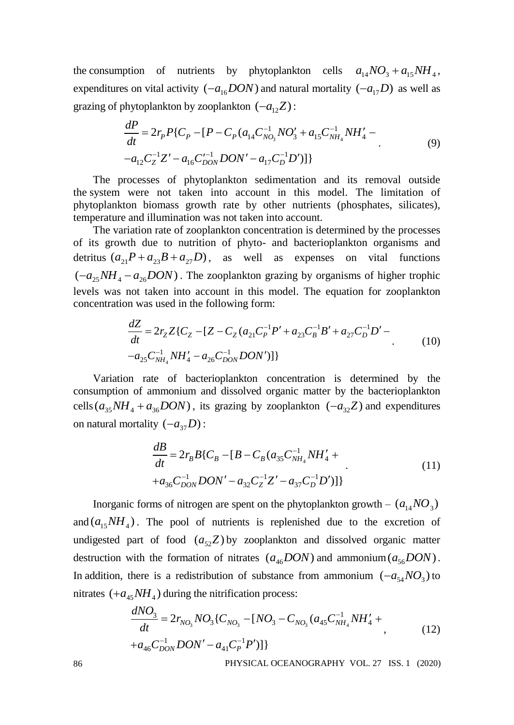the consumption of nutrients by phytoplankton cells  $a_{14}NO_3 + a_{15}NH_4$ , expenditures on vital activity  $(-a_{16}DOM)$  and natural mortality  $(-a_{17}D)$  as well as

grazing of phytoplankton by zooplankton 
$$
(-a_{12}Z)
$$
:  
\n
$$
\frac{dP}{dt} = 2r_p P \{C_p - [P - C_p (a_{14}C_{NO_3}^{-1}NO'_3 + a_{15}C_{NH_4}^{-1}NH'_4 - a_{12}C_2^{-1}Z' - a_{16}C_{DON}'DON' - a_{17}C_D^{-1}D')]\}
$$
\n(9)

The processes of phytoplankton sedimentation and its removal outside the system were not taken into account in this model. The limitation of phytoplankton biomass growth rate by other nutrients (phosphates, silicates), temperature and illumination was not taken into account.

The variation rate of zooplankton concentration is determined by the processes of its growth due to nutrition of phyto- and bacterioplankton organisms and detritus  $(a_{21}P + a_{23}B + a_{27}D)$ , as well as expenses on vital functions  $(-a_{25}NH_4 - a_{26}DOM)$ . The zooplankton grazing by organisms of higher trophic levels was not taken into account in this model. The equation for zooplankton

concentration was used in the following form:  
\n
$$
\frac{dZ}{dt} = 2r_Z Z \{ C_Z - [Z - C_Z (a_{21} C_P^{-1} P' + a_{23} C_B^{-1} B' + a_{27} C_D^{-1} D' - a_{25} C_{NH_4}^{-1} NH'_4 - a_{26} C_{DON}^{-1} DON'] \}
$$
\n(10)

Variation rate of bacterioplankton concentration is determined by the consumption of ammonium and dissolved organic matter by the bacterioplankton cells  $(a_{35}NH_4 + a_{36}DON)$ , its grazing by zooplankton  $(-a_{32}Z)$  and expenditures on natural mortality  $(-a_{37}D)$ :

$$
\frac{dB}{dt} = 2r_B B \{ C_B - [B - C_B (a_{35} C_{NH_4}^{-1} NH_4' ++ a_{36} C_{DON}^{-1} DON' - a_{32} C_Z^{-1} Z' - a_{37} C_D^{-1} D')] \}
$$
\n(11)

Inorganic forms of nitrogen are spent on the phytoplankton growth –  $(a_{14}NO_3)$ and  $(a_{15}NH_4)$ . The pool of nutrients is replenished due to the excretion of undigested part of food  $(a_{52}Z)$  by zooplankton and dissolved organic matter destruction with the formation of nitrates  $(a_{46}$ *DON*) and ammonium $(a_{56}$ *DON*). In addition, there is a redistribution of substance from ammonium  $(-a_{54}NO_3)$  to

nitrates 
$$
(+a_{45}NH_4)
$$
 during the nitrification process:  
\n
$$
\frac{dNO_3}{dt} = 2r_{NO_3}NO_3 \{C_{NO_3} - [NO_3 - C_{NO_3}(a_{45}C_{NH_4}^{-1}NH'_4 + a_{46}C_{DON}^{-1}DON' - a_{41}C_P^{-1}P')] \}
$$
\n(12)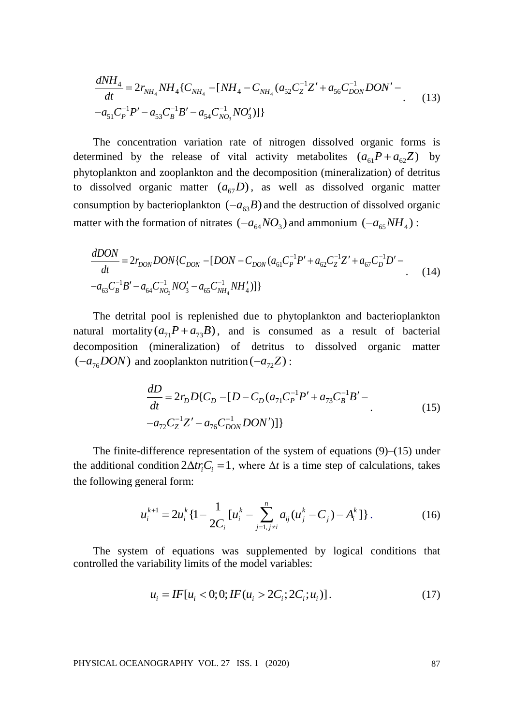$$
\frac{dNH_4}{dt} = 2r_{NH_4}NH_4\{C_{NH_4} - [NH_4 - C_{NH_4}(a_{52}C_Z^{-1}Z' + a_{56}C_{DON}^{-1}DON' - a_{51}C_P^{-1}P' - a_{53}C_B^{-1}B' - a_{54}C_{NO_3}^{-1}NO_3']\}
$$
\n(13)

The concentration variation rate of nitrogen dissolved organic forms is determined by the release of vital activity metabolites  $(a_{61}P + a_{62}Z)$  by phytoplankton and zooplankton and the decomposition (mineralization) of detritus to dissolved organic matter  $(a_{67}D)$ , as well as dissolved organic matter consumption by bacterioplankton  $(-a_{63}B)$  and the destruction of dissolved organic

matter with the formation of nitrates 
$$
(-a_{64}NO_3)
$$
 and ammonium  $(-a_{65}NH_4)$ :  
\n
$$
\frac{dDON}{dt} = 2r_{DON}DON\{C_{DON} - [DON - C_{DON}(a_{61}C_P^{-1}P' + a_{62}C_Z^{-1}Z' + a_{67}C_D^{-1}D' - a_{63}C_B^{-1}B' - a_{64}C_{NO_3}^{-1}NO_3' - a_{65}C_{NH_4}^{-1}NH'_4)\}\
$$
\n(14)

The detrital pool is replenished due to phytoplankton and bacterioplankton natural mortality  $(a_{71}P + a_{73}B)$ , and is consumed as a result of bacterial decomposition (mineralization) of detritus to dissolved organic matter  $(-a_{76}$ *DON*) and zooplankton nutrition  $(-a_{72}Z)$ :

$$
\frac{dD}{dt} = 2r_D D\{C_D - [D - C_D(a_{71}C_P^{-1}P' + a_{73}C_B^{-1}B' - a_{72}C_Z^{-1}Z' - a_{76}C_{DON}^{-1}DON']\}
$$
\n(15)

The finite-difference representation of the system of equations  $(9)$ – $(15)$  under the additional condition  $2\Delta tr_i C_i = 1$ , where  $\Delta t$  is a time step of calculations, takes the following general form:

$$
u_i^{k+1} = 2u_i^k \{1 - \frac{1}{2C_i} [u_i^k - \sum_{j=1, j \neq i}^n a_{ij} (u_j^k - C_j) - A_i^k] \}.
$$
 (16)

The system of equations was supplemented by logical conditions that controlled the variability limits of the model variables:

$$
u_i = IF[u_i < 0; 0; IF(u_i > 2C_i; 2C_i; u_i)].\tag{17}
$$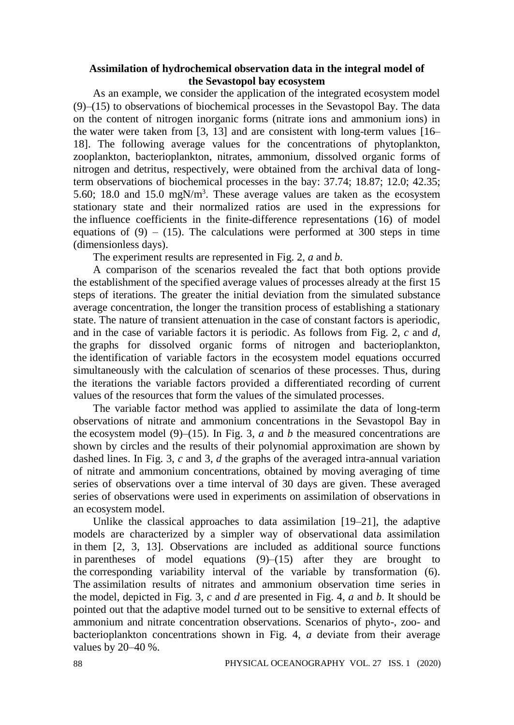# **Assimilation of hydrochemical observation data in the integral model of the Sevastopol bay ecosystem**

As an example, we consider the application of the integrated ecosystem model (9)–(15) to observations of biochemical processes in the Sevastopol Bay. The data on the content of nitrogen inorganic forms (nitrate ions and ammonium ions) in the water were taken from [3, 13] and are consistent with long-term values [16– 18]. The following average values for the concentrations of phytoplankton, zooplankton, bacterioplankton, nitrates, ammonium, dissolved organic forms of nitrogen and detritus, respectively, were obtained from the archival data of longterm observations of biochemical processes in the bay: 37.74; 18.87; 12.0; 42.35; 5.60; 18.0 and 15.0 mgN/ $m<sup>3</sup>$ . These average values are taken as the ecosystem stationary state and their normalized ratios are used in the expressions for the influence coefficients in the finite-difference representations (16) of model equations of  $(9) - (15)$ . The calculations were performed at 300 steps in time (dimensionless days).

The experiment results are represented in Fig. 2, *a* and *b*.

A comparison of the scenarios revealed the fact that both options provide the establishment of the specified average values of processes already at the first 15 steps of iterations. The greater the initial deviation from the simulated substance average concentration, the longer the transition process of establishing a stationary state. The nature of transient attenuation in the case of constant factors is aperiodic, and in the case of variable factors it is periodic. As follows from Fig. 2, *c* and *d*, the graphs for dissolved organic forms of nitrogen and bacterioplankton, the identification of variable factors in the ecosystem model equations occurred simultaneously with the calculation of scenarios of these processes. Thus, during the iterations the variable factors provided a differentiated recording of current values of the resources that form the values of the simulated processes.

The variable factor method was applied to assimilate the data of long-term observations of nitrate and ammonium concentrations in the Sevastopol Bay in the ecosystem model (9)–(15). In Fig. 3, *a* and *b* the measured concentrations are shown by circles and the results of their polynomial approximation are shown by dashed lines. In Fig. 3, *c* and 3, *d* the graphs of the averaged intra-annual variation of nitrate and ammonium concentrations, obtained by moving averaging of time series of observations over a time interval of 30 days are given. These averaged series of observations were used in experiments on assimilation of observations in an ecosystem model.

Unlike the classical approaches to data assimilation [19–21], the adaptive models are characterized by a simpler way of observational data assimilation in them [2, 3, 13]. Observations are included as additional source functions in parentheses of model equations (9)–(15) after they are brought to the corresponding variability interval of the variable by transformation (6). The assimilation results of nitrates and ammonium observation time series in the model, depicted in Fig. 3, *c* and *d* are presented in Fig. 4, *a* and *b*. It should be pointed out that the adaptive model turned out to be sensitive to external effects of ammonium and nitrate concentration observations. Scenarios of phyto-, zoo- and bacterioplankton concentrations shown in Fig. 4, *a* deviate from their average values by 20–40 %.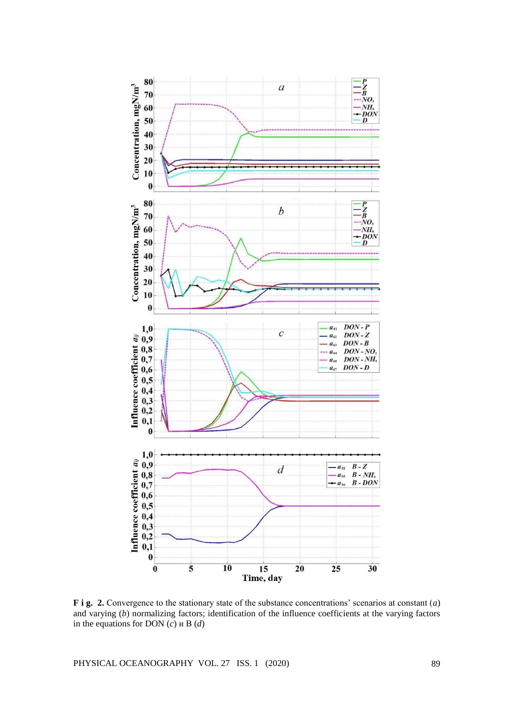

**F i g. 2.** Convergence to the stationary state of the substance concentrations' scenarios at constant (*a*) and varying (*b*) normalizing factors; identification of the influence coefficients at the varying factors in the equations for DON (*c*) и В (*d*)

PHYSICAL OCEANOGRAPHY VOL. 27 ISS. 1 (2020) 89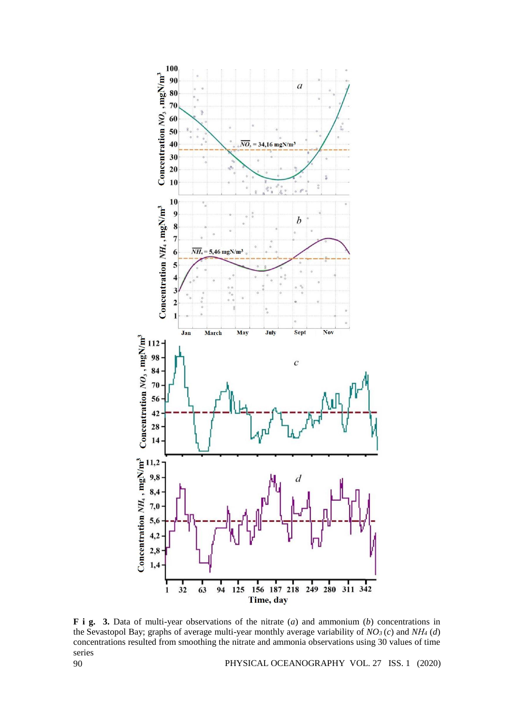

**F i g. 3.** Data of multi-year observations of the nitrate (*a*) and ammonium (*b*) concentrations in the Sevastopol Bay; graphs of average multi-year monthly average variability of *NO<sup>3</sup>* (*c*) and *NН<sup>4</sup>* (*d*) concentrations resulted from smoothing the nitrate and ammonia observations using 30 values of time series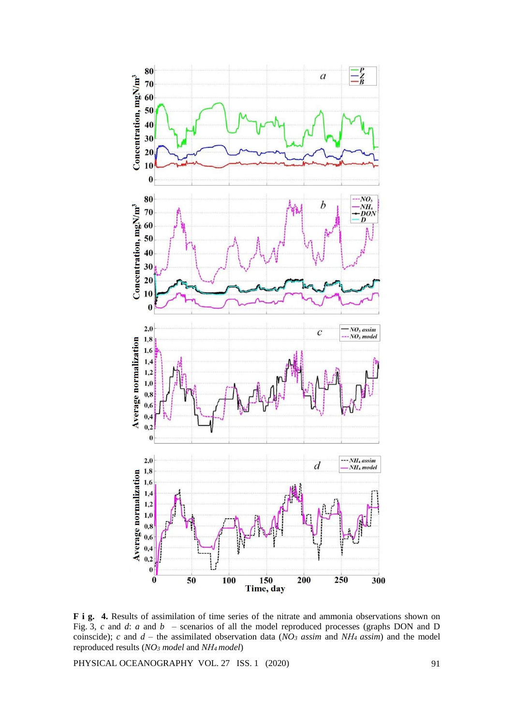

**F i g. 4.** Results of assimilation of time series of the nitrate and ammonia observations shown on Fig. 3, *c* and *d*: *a* and *b* – scenarios of all the model reproduced processes (graphs DON and D coinscide); *c* and *d* – the assimilated observation data ( $NO_3$  *assim* and  $NH_4$  *assim*) and the model reproduced results (*NO<sup>3</sup> model* and *NН4 model*)

PHYSICAL OCEANOGRAPHY VOL. 27 ISS. 1 (2020) 91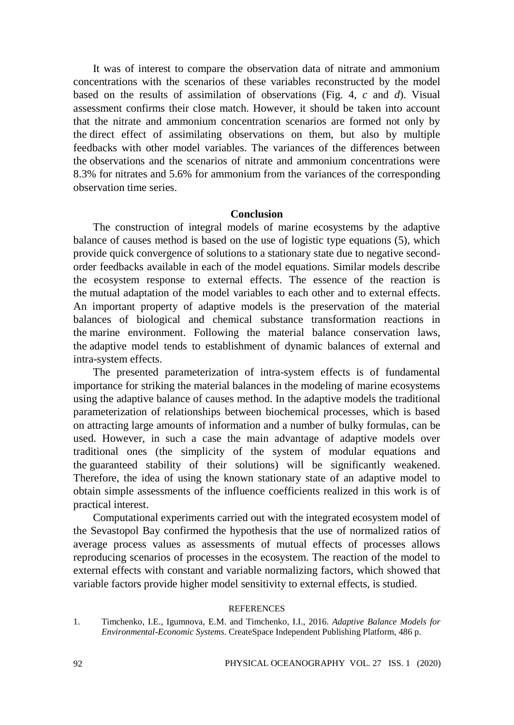It was of interest to compare the observation data of nitrate and ammonium concentrations with the scenarios of these variables reconstructed by the model based on the results of assimilation of observations (Fig. 4, *c* and *d*). Visual assessment confirms their close match. However, it should be taken into account that the nitrate and ammonium concentration scenarios are formed not only by the direct effect of assimilating observations on them, but also by multiple feedbacks with other model variables. The variances of the differences between the observations and the scenarios of nitrate and ammonium concentrations were 8.3% for nitrates and 5.6% for ammonium from the variances of the corresponding observation time series.

### **Conclusion**

The construction of integral models of marine ecosystems by the adaptive balance of causes method is based on the use of logistic type equations (5), which provide quick convergence of solutions to a stationary state due to negative secondorder feedbacks available in each of the model equations. Similar models describe the ecosystem response to external effects. The essence of the reaction is the mutual adaptation of the model variables to each other and to external effects. An important property of adaptive models is the preservation of the material balances of biological and chemical substance transformation reactions in the marine environment. Following the material balance conservation laws, the adaptive model tends to establishment of dynamic balances of external and intra-system effects.

The presented parameterization of intra-system effects is of fundamental importance for striking the material balances in the modeling of marine ecosystems using the adaptive balance of causes method. In the adaptive models the traditional parameterization of relationships between biochemical processes, which is based on attracting large amounts of information and a number of bulky formulas, can be used. However, in such a case the main advantage of adaptive models over traditional ones (the simplicity of the system of modular equations and the guaranteed stability of their solutions) will be significantly weakened. Therefore, the idea of using the known stationary state of an adaptive model to obtain simple assessments of the influence coefficients realized in this work is of practical interest.

Computational experiments carried out with the integrated ecosystem model of the Sevastopol Bay confirmed the hypothesis that the use of normalized ratios of average process values as assessments of mutual effects of processes allows reproducing scenarios of processes in the ecosystem. The reaction of the model to external effects with constant and variable normalizing factors, which showed that variable factors provide higher model sensitivity to external effects, is studied.

#### REFERENCES

1. Timchenko, I.E., Igumnova, E.M. and Timchenko, I.I., 2016. *Adaptive Balance Models for Environmental-Economic Systems*. CreateSpace Independent Publishing Platform, 486 p.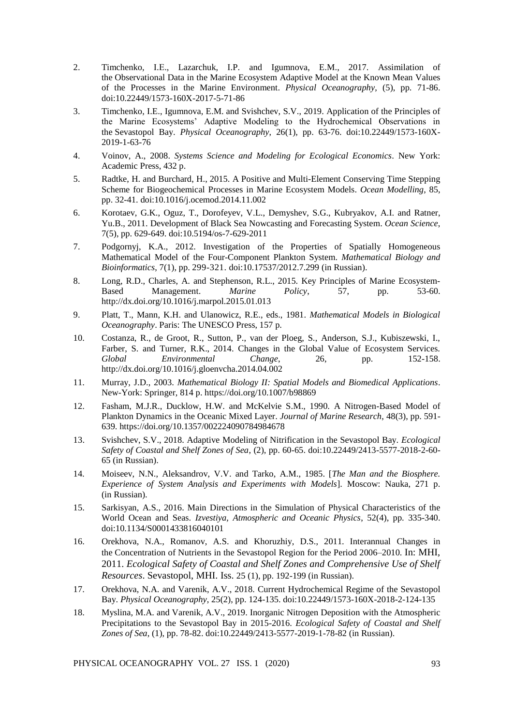- 2. [Timchenko, I.Е., Lazarchuk,](http://мгфж.рф/index.php/repository?id=394) I.P. and Igumnova, E.M., 2017. Assimilation of the [Observational Data in the Marine Ecosystem Adaptive Model at the Known Mean Values](http://мгфж.рф/index.php/repository?id=394) [of the Processes in the Marine Environment.](http://мгфж.рф/index.php/repository?id=394) *Physical Oceanography*, (5), pp. 71-86. [doi:10.22449/1573-160X-2017-5-71-86](http://мгфж.рф/index.php/repository?id=394)
- 3. Timchenko, I.E., Igumnova, E.M. and Svishchev, S.V., 2019. Application of the Principles of the Marine Ecosystems' Adaptive Modeling to the Hydrochemical Observations in the Sevastopol Bay. *Physical Oceanography*, 26(1), pp. 63-76. doi:10.22449/1573-160X-2019-1-63-76
- 4. Voinov, A., 2008. *Systems Science and Modeling for Ecological Economics*. New York: Academic Press, 432 p.
- 5. Radtke, H. and Burchard, H., 2015. A Positive and Multi-Element Conserving Time Stepping Scheme for Biogeochemical Processes in Marine Ecosystem Models. *Ocean Modelling*, 85, pp. 32-41. doi:10.1016/j.ocemod.2014.11.002
- 6. Korotaev, G.K., Oguz, T., Dorofeyev, V.L., Demyshev, S.G., Kubryakov, A.I. and Ratner, Yu.B., 2011. Development of Black Sea Nowcasting and Forecasting System. *Ocean Science*, 7(5), pp. 629-649. doi:10.5194/os-7-629-2011
- 7. Podgornyj, K.A., 2012. Investigation of the Properties of Spatially Homogeneous Mathematical Model of the Four-Component Plankton System. *Mathematical Biology and Bioinformatics*, 7(1), pp. 299-321. doi:10.17537/2012.7.299 (in Russian).
- 8. Long, R.D., Charles, A. and Stephenson, R.L., 2015. Key Principles of Marine Ecosystem-<br>Based Management. Marine Policy, 57, pp. 53-60. Management. *Marine Policy*, 57, pp. http://dx.doi.org/10.1016/j.marpol.2015.01.013
- 9. Platt, T., Mann, K.H. and Ulanowicz, R.E., eds., 1981. *Mathematical Models in Biological Oceanography*. Paris: The UNESCO Press, 157 p.
- 10. Costanza, R., de Groot, R., Sutton, P., van der Ploeg, S., Anderson, S.J., Kubiszewski, I., Farber, S. and Turner, R.K., 2014. Changes in the Global Value of Ecosystem Services. *Global Environmental Change*, 26, pp. 152-158. http://dx.doi.org/10.1016/j.gloenvcha.2014.04.002
- 11. Murray, J.D., 2003. *Mathematical Biology II: Spatial Models and Biomedical Applications*. New-York: Springer, 814 p. https://doi.org/10.1007/b98869
- 12. Fasham, M.J.R., Ducklow, H.W. and McKelvie S.M., 1990. A Nitrogen-Based Model of Plankton Dynamics in the Oceanic Mixed Layer. *Journal of Marine Research*, 48(3), pp. 591- 639. https://doi.org/10.1357/002224090784984678
- 13. Svishchev, S.V., 2018. Adaptive Modeling of Nitrification in the Sevastopol Bay. *Ecological Safety of Coastal and Shelf Zones of Sea*, (2), pp. 60-65. doi:10.22449/2413-5577-2018-2-60- 65 (in Russian).
- 14*.* Moiseev, N.N., Aleksandrov, V.V. and Tarko, A.M., 1985. [*The Man and the Biosphere. Experience of System Analysis and Experiments with Models*]. Moscow: Nauka, 271 p. (in Russian).
- 15. Sarkisyan, A.S., 2016. Main Directions in the Simulation of Physical Characteristics of the World Ocean and Seas. *Izvestiya, Atmospheric and Oceanic Physics*, 52(4), pp. 335-340. doi:10.1134/S0001433816040101
- 16. Orekhova, N.A., Romanov, A.S. and Khoruzhiy, D.S., 2011. Interannual Changes in the Concentration of Nutrients in the Sevastopol Region for the Period 2006–2010. In: MHI, 2011. *Ecological Safety of Coastal and Shelf Zones and Comprehensive Use of Shelf Resources*. Sevastopol, MHI. Iss. 25 (1), pp. 192-199 (in Russian).
- 17. Orekhova, N.A. and Varenik, A.V., 2018. Current Hydrochemical Regime of the Sevastopol Bay. *Physical Oceanography*, 25(2), pp. 124-135. doi:10.22449/1573-160X-2018-2-124-135
- 18. Myslina*,* M.A. and Varenik, A.V., 2019. Inorganic Nitrogen Deposition with the Atmospheric Precipitations to the Sevastopol Bay in 2015-2016. *Ecological Safety of Coastal and Shelf Zones of Sea*, (1), pp. 78-82. doi:10.22449/2413-5577-2019-1-78-82 (in Russian).